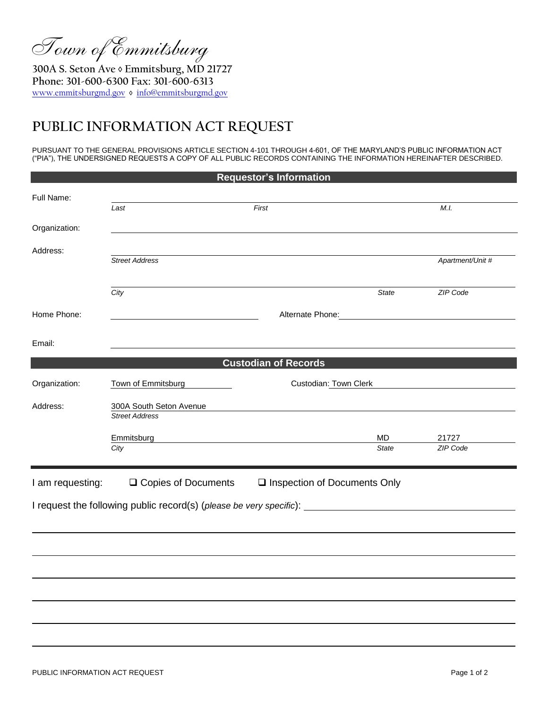Town of Emmitsburg

**300A S. Seton Ave ◊ Emmitsburg, MD 21727 Phone: 301-600-6300 Fax: 301-600-6313** [www.emmitsburgmd.gov](http://www.emmitsburgmd.gov/) **◊** [info@emmitsburgmd.gov](mailto:info@emmitsburgmd.gov)

## **PUBLIC INFORMATION ACT REQUEST**

PURSUANT TO THE GENERAL PROVISIONS ARTICLE SECTION 4-101 THROUGH 4-601, OF THE MARYLAND'S PUBLIC INFORMATION ACT ("PIA"), THE UNDERSIGNED REQUESTS A COPY OF ALL PUBLIC RECORDS CONTAINING THE INFORMATION HEREINAFTER DESCRIBED.

| <b>Requestor's Information</b> |                                                  |                                |                    |                   |  |
|--------------------------------|--------------------------------------------------|--------------------------------|--------------------|-------------------|--|
| Full Name:                     | Last                                             | First                          |                    | M.I.              |  |
| Organization:                  |                                                  |                                |                    |                   |  |
| Address:                       | <b>Street Address</b>                            |                                |                    | Apartment/Unit #  |  |
|                                | City                                             |                                | <b>State</b>       | ZIP Code          |  |
| Home Phone:                    |                                                  | Alternate Phone: 2008          |                    |                   |  |
| Email:                         |                                                  |                                |                    |                   |  |
|                                |                                                  | <b>Custodian of Records</b>    |                    |                   |  |
| Organization:                  | Town of Emmitsburg                               | Custodian: Town Clerk          |                    |                   |  |
| Address:                       | 300A South Seton Avenue<br><b>Street Address</b> |                                |                    |                   |  |
|                                | Emmitsburg<br>City                               |                                | MD<br><b>State</b> | 21727<br>ZIP Code |  |
| I am requesting:               | □ Copies of Documents                            | □ Inspection of Documents Only |                    |                   |  |
|                                |                                                  |                                |                    |                   |  |
|                                |                                                  |                                |                    |                   |  |
|                                |                                                  |                                |                    |                   |  |
|                                |                                                  |                                |                    |                   |  |
|                                |                                                  |                                |                    |                   |  |
|                                |                                                  |                                |                    |                   |  |
|                                |                                                  |                                |                    |                   |  |